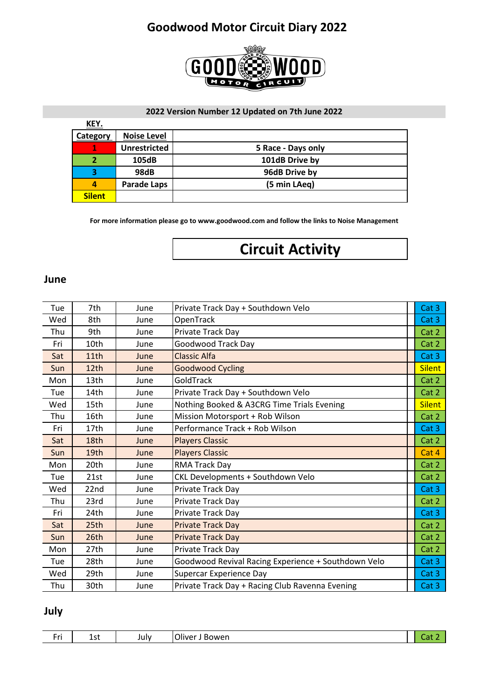

#### **2022 Version Number 12 Updated on 7th June 2022**

| <u>KEY.</u>   |                     |                    |
|---------------|---------------------|--------------------|
| Category      | <b>Noise Level</b>  |                    |
|               | <b>Unrestricted</b> | 5 Race - Days only |
|               | 105dB               | 101dB Drive by     |
| 3             | 98dB                | 96dB Drive by      |
|               | <b>Parade Laps</b>  | (5 min LAeg)       |
| <b>Silent</b> |                     |                    |

**For more information please go to www.goodwood.com and follow the links to Noise Management**

# **Circuit Activity**

#### **June**

| Tue | 7th  | June | Private Track Day + Southdown Velo                  | Cat 3         |
|-----|------|------|-----------------------------------------------------|---------------|
| Wed | 8th  | June | OpenTrack                                           | Cat 3         |
| Thu | 9th  | June | Private Track Day                                   | Cat 2         |
| Fri | 10th | June | Goodwood Track Day                                  | Cat 2         |
| Sat | 11th | June | <b>Classic Alfa</b>                                 | Cat 3         |
| Sun | 12th | June | <b>Goodwood Cycling</b>                             | <b>Silent</b> |
| Mon | 13th | June | GoldTrack                                           | Cat 2         |
| Tue | 14th | June | Private Track Day + Southdown Velo                  | Cat 2         |
| Wed | 15th | June | Nothing Booked & A3CRG Time Trials Evening          | <b>Silent</b> |
| Thu | 16th | June | Mission Motorsport + Rob Wilson                     | Cat 2         |
| Fri | 17th | June | Performance Track + Rob Wilson                      | Cat 3         |
| Sat | 18th | June | <b>Players Classic</b>                              | Cat 2         |
| Sun | 19th | June | <b>Players Classic</b>                              | Cat 4         |
| Mon | 20th | June | RMA Track Day                                       | Cat 2         |
| Tue | 21st | June | CKL Developments + Southdown Velo                   | Cat 2         |
| Wed | 22nd | June | Private Track Day                                   | Cat 3         |
| Thu | 23rd | June | Private Track Day                                   | Cat 2         |
| Fri | 24th | June | Private Track Day                                   | Cat 3         |
| Sat | 25th | June | <b>Private Track Day</b>                            | Cat 2         |
| Sun | 26th | June | <b>Private Track Day</b>                            | Cat 2         |
| Mon | 27th | June | Private Track Day                                   | Cat 2         |
| Tue | 28th | June | Goodwood Revival Racing Experience + Southdown Velo | Cat 3         |
| Wed | 29th | June | Supercar Experience Day                             | Cat 3         |
| Thu | 30th | June | Private Track Day + Racing Club Ravenna Evening     | Cat 3         |

#### **July**

| $\overline{\phantom{a}}$<br>.<br><b>A</b><br>วwen<br>--<br>ver<br>July<br>ים<br>ᅩᇰᄔ<br>. .<br> |  |
|------------------------------------------------------------------------------------------------|--|
|------------------------------------------------------------------------------------------------|--|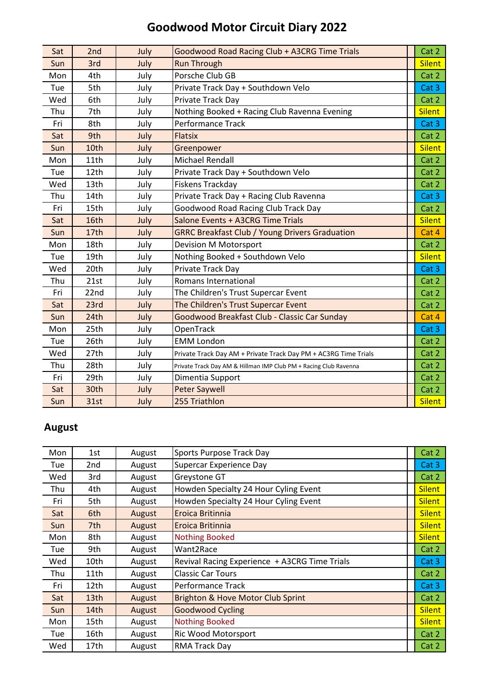| Sat | 2nd  | July | Goodwood Road Racing Club + A3CRG Time Trials                    | Cat 2         |
|-----|------|------|------------------------------------------------------------------|---------------|
| Sun | 3rd  | July | <b>Run Through</b>                                               | <b>Silent</b> |
| Mon | 4th  | July | Porsche Club GB                                                  | Cat 2         |
| Tue | 5th  | July | Private Track Day + Southdown Velo                               | Cat 3         |
| Wed | 6th  | July | Private Track Day                                                | Cat 2         |
| Thu | 7th  | July | Nothing Booked + Racing Club Ravenna Evening                     | <b>Silent</b> |
| Fri | 8th  | July | <b>Performance Track</b>                                         | Cat 3         |
| Sat | 9th  | July | <b>Flatsix</b>                                                   | Cat 2         |
| Sun | 10th | July | Greenpower                                                       | <b>Silent</b> |
| Mon | 11th | July | <b>Michael Rendall</b>                                           | Cat 2         |
| Tue | 12th | July | Private Track Day + Southdown Velo                               | Cat 2         |
| Wed | 13th | July | Fiskens Trackday                                                 | Cat 2         |
| Thu | 14th | July | Private Track Day + Racing Club Ravenna                          | Cat 3         |
| Fri | 15th | July | <b>Goodwood Road Racing Club Track Day</b>                       | Cat 2         |
| Sat | 16th | July | Salone Events + A3CRG Time Trials                                | <b>Silent</b> |
| Sun | 17th | July | <b>GRRC Breakfast Club / Young Drivers Graduation</b>            | Cat 4         |
| Mon | 18th | July | <b>Devision M Motorsport</b>                                     | Cat 2         |
| Tue | 19th | July | Nothing Booked + Southdown Velo                                  | <b>Silent</b> |
| Wed | 20th | July | Private Track Day                                                | Cat 3         |
| Thu | 21st | July | Romans International                                             | Cat 2         |
| Fri | 22nd | July | The Children's Trust Supercar Event                              | Cat 2         |
| Sat | 23rd | July | The Children's Trust Supercar Event                              | Cat 2         |
| Sun | 24th | July | Goodwood Breakfast Club - Classic Car Sunday                     | Cat 4         |
| Mon | 25th | July | OpenTrack                                                        | Cat 3         |
| Tue | 26th | July | <b>EMM London</b>                                                | Cat 2         |
| Wed | 27th | July | Private Track Day AM + Private Track Day PM + AC3RG Time Trials  | Cat 2         |
| Thu | 28th | July | Private Track Day AM & Hillman IMP Club PM + Racing Club Ravenna | Cat 2         |
| Fri | 29th | July | Dimentia Support                                                 | Cat 2         |
| Sat | 30th | July | <b>Peter Saywell</b>                                             | Cat 2         |
| Sun | 31st | July | 255 Triathlon                                                    | <b>Silent</b> |

## **August**

| Mon | 1st              | August | Sports Purpose Track Day                      | Cat 2         |
|-----|------------------|--------|-----------------------------------------------|---------------|
| Tue | 2nd              | August | Supercar Experience Day                       | Cat 3         |
| Wed | 3rd              | August | Greystone GT                                  | Cat 2         |
| Thu | 4th              | August | Howden Specialty 24 Hour Cyling Event         | <b>Silent</b> |
| Fri | 5th              | August | Howden Specialty 24 Hour Cyling Event         | <b>Silent</b> |
| Sat | 6th              | August | Eroica Britinnia                              | <b>Silent</b> |
| Sun | 7th              | August | Eroica Britinnia                              | <b>Silent</b> |
| Mon | 8th              | August | <b>Nothing Booked</b>                         | <b>Silent</b> |
| Tue | 9th              | August | Want2Race                                     | Cat 2         |
| Wed | 10th             | August | Revival Racing Experience + A3CRG Time Trials | Cat 3         |
| Thu | 11th             | August | <b>Classic Car Tours</b>                      | Cat 2         |
| Fri | 12th             | August | Performance Track                             | Cat 3         |
| Sat | 13th             | August | Brighton & Hove Motor Club Sprint             | Cat 2         |
| Sun | 14 <sub>th</sub> | August | <b>Goodwood Cycling</b>                       | <b>Silent</b> |
| Mon | 15th             | August | <b>Nothing Booked</b>                         | <b>Silent</b> |
| Tue | 16th             | August | Ric Wood Motorsport                           | Cat 2         |
| Wed | 17th             | August | RMA Track Day                                 | Cat 2         |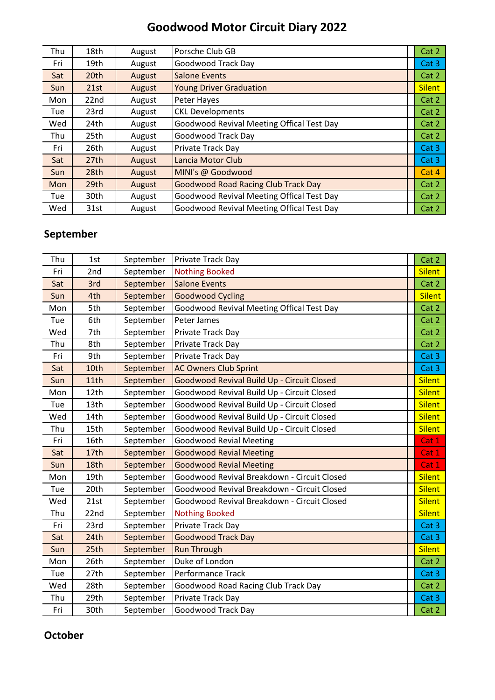| Thu        | 18th | August | Porsche Club GB                            | Cat 2         |
|------------|------|--------|--------------------------------------------|---------------|
| Fri        | 19th | August | <b>Goodwood Track Day</b>                  | Cat 3         |
| Sat        | 20th | August | <b>Salone Events</b>                       | Cat 2         |
| Sun        | 21st | August | <b>Young Driver Graduation</b>             | <b>Silent</b> |
| Mon        | 22nd | August | Peter Hayes                                | Cat 2         |
| Tue        | 23rd | August | <b>CKL Developments</b>                    | Cat 2         |
| Wed        | 24th | August | Goodwood Revival Meeting Offical Test Day  | Cat 2         |
| Thu        | 25th | August | <b>Goodwood Track Day</b>                  | Cat 2         |
| Fri        | 26th | August | Private Track Day                          | Cat 3         |
| Sat        | 27th | August | Lancia Motor Club                          | Cat 3         |
| Sun        | 28th | August | MINI's @ Goodwood                          | Cat 4         |
| <b>Mon</b> | 29th | August | <b>Goodwood Road Racing Club Track Day</b> | Cat 2         |
| Tue        | 30th | August | Goodwood Revival Meeting Offical Test Day  | Cat 2         |
| Wed        | 31st | August | Goodwood Revival Meeting Offical Test Day  | Cat 2         |

### **September**

| Thu | 1st  | September | Private Track Day                           | Cat 2              |
|-----|------|-----------|---------------------------------------------|--------------------|
| Fri | 2nd  | September | <b>Nothing Booked</b>                       | <b>Silent</b>      |
| Sat | 3rd  | September | <b>Salone Events</b>                        | Cat 2              |
| Sun | 4th  | September | <b>Goodwood Cycling</b>                     | <b>Silent</b>      |
| Mon | 5th  | September | Goodwood Revival Meeting Offical Test Day   | Cat 2              |
| Tue | 6th  | September | Peter James                                 | Cat 2              |
| Wed | 7th  | September | Private Track Day                           | Cat 2              |
| Thu | 8th  | September | Private Track Day                           | Cat 2              |
| Fri | 9th  | September | Private Track Day                           | Cat 3              |
| Sat | 10th | September | <b>AC Owners Club Sprint</b>                | Cat 3              |
| Sun | 11th | September | Goodwood Revival Build Up - Circuit Closed  | <b>Silent</b>      |
| Mon | 12th | September | Goodwood Revival Build Up - Circuit Closed  | <b>Silent</b>      |
| Tue | 13th | September | Goodwood Revival Build Up - Circuit Closed  | <b>Silent</b>      |
| Wed | 14th | September | Goodwood Revival Build Up - Circuit Closed  | <b>Silent</b>      |
| Thu | 15th | September | Goodwood Revival Build Up - Circuit Closed  | <b>Silent</b>      |
| Fri | 16th | September | <b>Goodwood Revial Meeting</b>              | Cat 1              |
| Sat | 17th | September | <b>Goodwood Revial Meeting</b>              | Cat 1              |
| Sun | 18th | September | <b>Goodwood Revial Meeting</b>              | Cat 1              |
| Mon | 19th | September | Goodwood Revival Breakdown - Circuit Closed | <b>Silent</b>      |
| Tue | 20th | September | Goodwood Revival Breakdown - Circuit Closed | <b>Silent</b>      |
| Wed | 21st | September | Goodwood Revival Breakdown - Circuit Closed | <b>Silent</b>      |
| Thu | 22nd | September | <b>Nothing Booked</b>                       | <b>Silent</b>      |
| Fri | 23rd | September | Private Track Day                           | Cat 3              |
| Sat | 24th | September | <b>Goodwood Track Day</b>                   | Cat 3              |
| Sun | 25th | September | <b>Run Through</b>                          | <b>Silent</b>      |
| Mon | 26th | September | Duke of London                              | Cat 2              |
| Tue | 27th | September | Performance Track                           | Cat 3              |
| Wed | 28th | September | Goodwood Road Racing Club Track Day         | Cat 2              |
| Thu | 29th | September | Private Track Day                           | Cat 3 <sub>1</sub> |
| Fri | 30th | September | <b>Goodwood Track Day</b>                   | Cat 2              |

#### **October**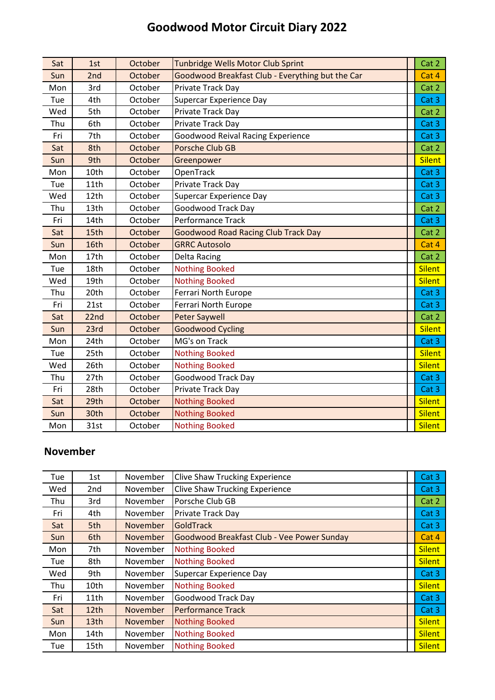| Sat | 1st  | October | <b>Tunbridge Wells Motor Club Sprint</b>         | Cat 2         |
|-----|------|---------|--------------------------------------------------|---------------|
| Sun | 2nd  | October | Goodwood Breakfast Club - Everything but the Car | Cat 4         |
| Mon | 3rd  | October | Private Track Day                                | Cat 2         |
| Tue | 4th  | October | Supercar Experience Day                          | Cat 3         |
| Wed | 5th  | October | Private Track Day                                | Cat 2         |
| Thu | 6th  | October | Private Track Day                                | Cat 3         |
| Fri | 7th  | October | <b>Goodwood Reival Racing Experience</b>         | Cat 3         |
| Sat | 8th  | October | Porsche Club GB                                  | Cat 2         |
| Sun | 9th  | October | Greenpower                                       | <b>Silent</b> |
| Mon | 10th | October | OpenTrack                                        | Cat 3         |
| Tue | 11th | October | Private Track Day                                | Cat 3         |
| Wed | 12th | October | Supercar Experience Day                          | Cat 3         |
| Thu | 13th | October | <b>Goodwood Track Day</b>                        | Cat 2         |
| Fri | 14th | October | <b>Performance Track</b>                         | Cat 3         |
| Sat | 15th | October | <b>Goodwood Road Racing Club Track Day</b>       | Cat 2         |
| Sun | 16th | October | <b>GRRC Autosolo</b>                             | Cat 4         |
| Mon | 17th | October | Delta Racing                                     | Cat 2         |
| Tue | 18th | October | <b>Nothing Booked</b>                            | <b>Silent</b> |
| Wed | 19th | October | <b>Nothing Booked</b>                            | <b>Silent</b> |
| Thu | 20th | October | <b>Ferrari North Europe</b>                      | Cat 3         |
| Fri | 21st | October | Ferrari North Europe                             | Cat 3         |
| Sat | 22nd | October | <b>Peter Saywell</b>                             | Cat 2         |
| Sun | 23rd | October | <b>Goodwood Cycling</b>                          | <b>Silent</b> |
| Mon | 24th | October | MG's on Track                                    | Cat 3         |
| Tue | 25th | October | <b>Nothing Booked</b>                            | <b>Silent</b> |
| Wed | 26th | October | <b>Nothing Booked</b>                            | <b>Silent</b> |
| Thu | 27th | October | <b>Goodwood Track Day</b>                        | Cat 3         |
| Fri | 28th | October | Private Track Day                                | Cat 3         |
| Sat | 29th | October | <b>Nothing Booked</b>                            | <b>Silent</b> |
| Sun | 30th | October | <b>Nothing Booked</b>                            | <b>Silent</b> |
| Mon | 31st | October | <b>Nothing Booked</b>                            | <b>Silent</b> |

#### **November**

| Tue        | 1st              | November | <b>Clive Shaw Trucking Experience</b>      | Cat 3         |
|------------|------------------|----------|--------------------------------------------|---------------|
| Wed        | 2nd              | November | <b>Clive Shaw Trucking Experience</b>      | Cat 3         |
| Thu        | 3rd              | November | Porsche Club GB                            | Cat 2         |
| Fri        | 4th              | November | Private Track Day                          | Cat 3         |
| Sat        | 5th              | November | <b>GoldTrack</b>                           | Cat 3         |
| Sun        | 6th              | November | Goodwood Breakfast Club - Vee Power Sunday | Cat 4         |
| Mon        | 7th              | November | <b>Nothing Booked</b>                      | <b>Silent</b> |
| Tue        | 8th              | November | <b>Nothing Booked</b>                      | <b>Silent</b> |
| Wed        | 9th              | November | Supercar Experience Day                    | Cat 3         |
| Thu        | 10th             | November | <b>Nothing Booked</b>                      | <b>Silent</b> |
| Fri        | 11th             | November | Goodwood Track Day                         | Cat 3         |
| Sat        | 12 <sub>th</sub> | November | <b>Performance Track</b>                   | Cat 3         |
| <b>Sun</b> | 13th             | November | <b>Nothing Booked</b>                      | <b>Silent</b> |
| Mon        | 14th             | November | <b>Nothing Booked</b>                      | <b>Silent</b> |
| Tue        | 15th             | November | <b>Nothing Booked</b>                      | <b>Silent</b> |